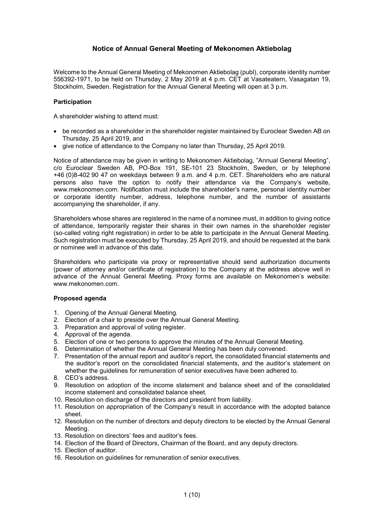# **Notice of Annual General Meeting of Mekonomen Aktiebolag**

Welcome to the Annual General Meeting of Mekonomen Aktiebolag (publ), corporate identity number 556392-1971, to be held on Thursday, 2 May 2019 at 4 p.m. CET at Vasateatern, Vasagatan 19, Stockholm, Sweden. Registration for the Annual General Meeting will open at 3 p.m.

## **Participation**

A shareholder wishing to attend must:

- be recorded as a shareholder in the shareholder register maintained by Euroclear Sweden AB on Thursday, 25 April 2019, and
- give notice of attendance to the Company no later than Thursday, 25 April 2019.

Notice of attendance may be given in writing to Mekonomen Aktiebolag, "Annual General Meeting", c/o Euroclear Sweden AB, PO-Box 191, SE-101 23 Stockholm, Sweden, or by telephone +46 (0)8-402 90 47 on weekdays between 9 a.m. and 4 p.m. CET. Shareholders who are natural persons also have the option to notify their attendance via the Company's website, www.mekonomen.com. Notification must include the shareholder's name, personal identity number or corporate identity number, address, telephone number, and the number of assistants accompanying the shareholder, if any.

Shareholders whose shares are registered in the name of a nominee must, in addition to giving notice of attendance, temporarily register their shares in their own names in the shareholder register (so-called voting right registration) in order to be able to participate in the Annual General Meeting. Such registration must be executed by Thursday, 25 April 2019, and should be requested at the bank or nominee well in advance of this date.

Shareholders who participate via proxy or representative should send authorization documents (power of attorney and/or certificate of registration) to the Company at the address above well in advance of the Annual General Meeting. Proxy forms are available on Mekonomen's website: www.mekonomen.com.

## **Proposed agenda**

- 1. Opening of the Annual General Meeting.
- 2. Election of a chair to preside over the Annual General Meeting.
- 3. Preparation and approval of voting register.
- 4. Approval of the agenda.
- 5. Election of one or two persons to approve the minutes of the Annual General Meeting.
- 6. Determination of whether the Annual General Meeting has been duly convened.
- 7. Presentation of the annual report and auditor's report, the consolidated financial statements and the auditor's report on the consolidated financial statements, and the auditor's statement on whether the guidelines for remuneration of senior executives have been adhered to.
- 8. CEO's address.
- 9. Resolution on adoption of the income statement and balance sheet and of the consolidated income statement and consolidated balance sheet.
- 10. Resolution on discharge of the directors and president from liability.
- 11. Resolution on appropriation of the Company's result in accordance with the adopted balance sheet.
- 12. Resolution on the number of directors and deputy directors to be elected by the Annual General Meeting.
- 13. Resolution on directors' fees and auditor's fees.
- 14. Election of the Board of Directors, Chairman of the Board, and any deputy directors.
- 15. Election of auditor.
- 16. Resolution on guidelines for remuneration of senior executives.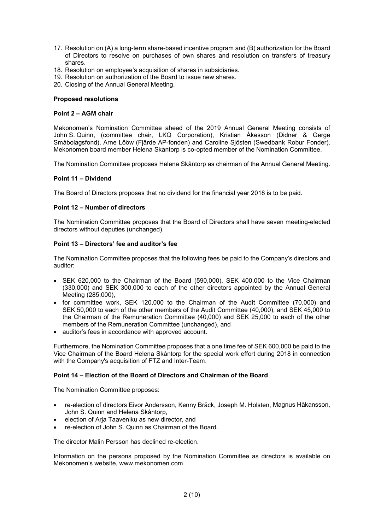- 17. Resolution on (A) a long-term share-based incentive program and (B) authorization for the Board of Directors to resolve on purchases of own shares and resolution on transfers of treasury shares.
- 18. Resolution on employee's acquisition of shares in subsidiaries.
- 19. Resolution on authorization of the Board to issue new shares.
- 20. Closing of the Annual General Meeting.

#### **Proposed resolutions**

### **Point 2 – AGM chair**

Mekonomen's Nomination Committee ahead of the 2019 Annual General Meeting consists of John S. Quinn, (committee chair, LKQ Corporation), Kristian Åkesson (Didner & Gerge Småbolagsfond), Arne Lööw (Fjärde AP-fonden) and Caroline Sjösten (Swedbank Robur Fonder). Mekonomen board member Helena Skåntorp is co-opted member of the Nomination Committee.

The Nomination Committee proposes Helena Skåntorp as chairman of the Annual General Meeting.

### **Point 11 – Dividend**

The Board of Directors proposes that no dividend for the financial year 2018 is to be paid.

### **Point 12 – Number of directors**

The Nomination Committee proposes that the Board of Directors shall have seven meeting-elected directors without deputies (unchanged).

### **Point 13 – Directors' fee and auditor's fee**

The Nomination Committee proposes that the following fees be paid to the Company's directors and auditor:

- SEK 620,000 to the Chairman of the Board (590,000), SEK 400,000 to the Vice Chairman (330,000) and SEK 300,000 to each of the other directors appointed by the Annual General Meeting (285,000),
- for committee work, SEK 120,000 to the Chairman of the Audit Committee (70,000) and SEK 50,000 to each of the other members of the Audit Committee (40,000), and SEK 45,000 to the Chairman of the Remuneration Committee (40,000) and SEK 25,000 to each of the other members of the Remuneration Committee (unchanged), and
- auditor's fees in accordance with approved account.

Furthermore, the Nomination Committee proposes that a one time fee of SEK 600,000 be paid to the Vice Chairman of the Board Helena Skåntorp for the special work effort during 2018 in connection with the Company's acquisition of FTZ and Inter-Team.

#### **Point 14 – Election of the Board of Directors and Chairman of the Board**

The Nomination Committee proposes:

- re-election of directors Eivor Andersson, Kenny Bräck, Joseph M. Holsten, Magnus Håkansson, John S. Quinn and Helena Skåntorp,
- election of Arja Taaveniku as new director, and
- re-election of John S. Quinn as Chairman of the Board.

The director Malin Persson has declined re-election.

Information on the persons proposed by the Nomination Committee as directors is available on Mekonomen's website, www.mekonomen.com.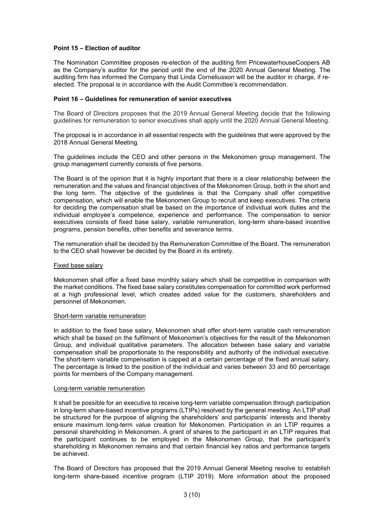### **Point 15 – Election of auditor**

The Nomination Committee proposes re-election of the auditing firm PricewaterhouseCoopers AB as the Company's auditor for the period until the end of the 2020 Annual General Meeting. The auditing firm has informed the Company that Linda Corneliusson will be the auditor in charge, if reelected. The proposal is in accordance with the Audit Committee's recommendation.

#### **Point 16 – Guidelines for remuneration of senior executives**

The Board of Directors proposes that the 2019 Annual General Meeting decide that the following guidelines for remuneration to senior executives shall apply until the 2020 Annual General Meeting.

The proposal is in accordance in all essential respects with the guidelines that were approved by the 2018 Annual General Meeting.

The guidelines include the CEO and other persons in the Mekonomen group management. The group management currently consists of five persons.

The Board is of the opinion that it is highly important that there is a clear relationship between the remuneration and the values and financial objectives of the Mekonomen Group, both in the short and the long term. The objective of the guidelines is that the Company shall offer competitive compensation, which will enable the Mekonomen Group to recruit and keep executives. The criteria for deciding the compensation shall be based on the importance of individual work duties and the individual employee's competence, experience and performance. The compensation to senior executives consists of fixed base salary, variable remuneration, long-term share-based incentive programs, pension benefits, other benefits and severance terms.

The remuneration shall be decided by the Remuneration Committee of the Board. The remuneration to the CEO shall however be decided by the Board in its entirety.

### Fixed base salary

Mekonomen shall offer a fixed base monthly salary which shall be competitive in comparison with the market conditions. The fixed base salary constitutes compensation for committed work performed at a high professional level, which creates added value for the customers, shareholders and personnel of Mekonomen.

#### Short-term variable remuneration

In addition to the fixed base salary, Mekonomen shall offer short-term variable cash remuneration which shall be based on the fulfilment of Mekonomen's objectives for the result of the Mekonomen Group, and individual qualitative parameters. The allocation between base salary and variable compensation shall be proportionate to the responsibility and authority of the individual executive. The short-term variable compensation is capped at a certain percentage of the fixed annual salary. The percentage is linked to the position of the individual and varies between 33 and 60 percentage points for members of the Company management.

#### Long-term variable remuneration

It shall be possible for an executive to receive long-term variable compensation through participation in long-term share-based incentive programs (LTIPs) resolved by the general meeting. An LTIP shall be structured for the purpose of aligning the shareholders' and participants' interests and thereby ensure maximum long-term value creation for Mekonomen. Participation in an LTIP requires a personal shareholding in Mekonomen. A grant of shares to the participant in an LTIP requires that the participant continues to be employed in the Mekonomen Group, that the participant's shareholding in Mekonomen remains and that certain financial key ratios and performance targets be achieved.

The Board of Directors has proposed that the 2019 Annual General Meeting resolve to establish long-term share-based incentive program (LTIP 2019). More information about the proposed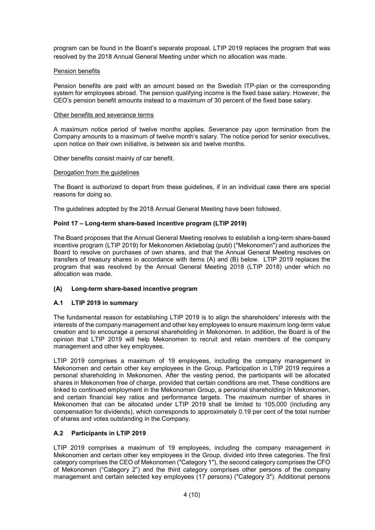program can be found in the Board's separate proposal. LTIP 2019 replaces the program that was resolved by the 2018 Annual General Meeting under which no allocation was made.

### Pension benefits

Pension benefits are paid with an amount based on the Swedish ITP-plan or the corresponding system for employees abroad. The pension qualifying income is the fixed base salary. However, the CEO's pension benefit amounts instead to a maximum of 30 percent of the fixed base salary.

#### Other benefits and severance terms

A maximum notice period of twelve months applies. Severance pay upon termination from the Company amounts to a maximum of twelve month's salary. The notice period for senior executives, upon notice on their own initiative, is between six and twelve months.

Other benefits consist mainly of car benefit.

#### Derogation from the guidelines

The Board is authorized to depart from these guidelines, if in an individual case there are special reasons for doing so.

The guidelines adopted by the 2018 Annual General Meeting have been followed.

## **Point 17 – Long-term share-based incentive program (LTIP 2019)**

The Board proposes that the Annual General Meeting resolves to establish a long-term share-based incentive program (LTIP 2019) for Mekonomen Aktiebolag (publ) ("Mekonomen") and authorizes the Board to resolve on purchases of own shares, and that the Annual General Meeting resolves on transfers of treasury shares in accordance with items (A) and (B) below. LTIP 2019 replaces the program that was resolved by the Annual General Meeting 2018 (LTIP 2018) under which no allocation was made.

### **(A) Long-term share-based incentive program**

## **A.1 LTIP 2019 in summary**

The fundamental reason for establishing LTIP 2019 is to align the shareholders' interests with the interests of the company management and other key employees to ensure maximum long-term value creation and to encourage a personal shareholding in Mekonomen. In addition, the Board is of the opinion that LTIP 2019 will help Mekonomen to recruit and retain members of the company management and other key employees.

LTIP 2019 comprises a maximum of 19 employees, including the company management in Mekonomen and certain other key employees in the Group. Participation in LTIP 2019 requires a personal shareholding in Mekonomen. After the vesting period, the participants will be allocated shares in Mekonomen free of charge, provided that certain conditions are met. These conditions are linked to continued employment in the Mekonomen Group, a personal shareholding in Mekonomen, and certain financial key ratios and performance targets. The maximum number of shares in Mekonomen that can be allocated under LTIP 2019 shall be limited to 105,000 (including any compensation for dividends), which corresponds to approximately 0.19 per cent of the total number of shares and votes outstanding in the Company.

## **A.2 Participants in LTIP 2019**

LTIP 2019 comprises a maximum of 19 employees, including the company management in Mekonomen and certain other key employees in the Group, divided into three categories. The first category comprises the CEO of Mekonomen ("Category 1"), the second category comprises the CFO of Mekonomen ("Category 2") and the third category comprises other persons of the company management and certain selected key employees (17 persons) ("Category 3"). Additional persons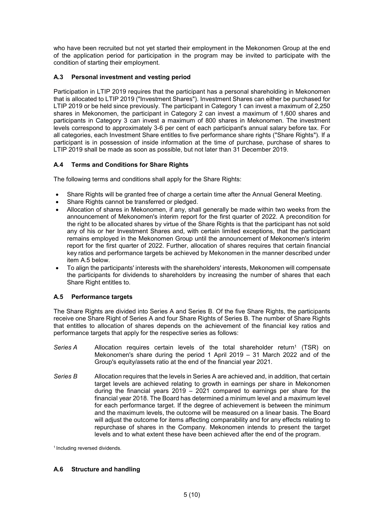who have been recruited but not yet started their employment in the Mekonomen Group at the end of the application period for participation in the program may be invited to participate with the condition of starting their employment.

# **A.3 Personal investment and vesting period**

Participation in LTIP 2019 requires that the participant has a personal shareholding in Mekonomen that is allocated to LTIP 2019 ("Investment Shares"). Investment Shares can either be purchased for LTIP 2019 or be held since previously. The participant in Category 1 can invest a maximum of 2,250 shares in Mekonomen, the participant in Category 2 can invest a maximum of 1,600 shares and participants in Category 3 can invest a maximum of 800 shares in Mekonomen. The investment levels correspond to approximately 3-6 per cent of each participant's annual salary before tax. For all categories, each Investment Share entitles to five performance share rights ("Share Rights"). If a participant is in possession of inside information at the time of purchase, purchase of shares to LTIP 2019 shall be made as soon as possible, but not later than 31 December 2019.

# **A.4 Terms and Conditions for Share Rights**

The following terms and conditions shall apply for the Share Rights:

- Share Rights will be granted free of charge a certain time after the Annual General Meeting.
- Share Rights cannot be transferred or pledged.
- Allocation of shares in Mekonomen, if any, shall generally be made within two weeks from the announcement of Mekonomen's interim report for the first quarter of 2022. A precondition for the right to be allocated shares by virtue of the Share Rights is that the participant has not sold any of his or her Investment Shares and, with certain limited exceptions, that the participant remains employed in the Mekonomen Group until the announcement of Mekonomen's interim report for the first quarter of 2022. Further, allocation of shares requires that certain financial key ratios and performance targets be achieved by Mekonomen in the manner described under item A.5 below.
- To align the participants' interests with the shareholders' interests, Mekonomen will compensate the participants for dividends to shareholders by increasing the number of shares that each Share Right entitles to.

## **A.5 Performance targets**

The Share Rights are divided into Series A and Series B. Of the five Share Rights, the participants receive one Share Right of Series A and four Share Rights of Series B. The number of Share Rights that entitles to allocation of shares depends on the achievement of the financial key ratios and performance targets that apply for the respective series as follows:

- Series A Allocation requires certain levels of the total shareholder return<sup>1</sup> (TSR) on Mekonomen's share during the period 1 April 2019 – 31 March 2022 and of the Group's equity/assets ratio at the end of the financial year 2021.
- *Series B* Allocation requires that the levels in Series A are achieved and, in addition, that certain target levels are achieved relating to growth in earnings per share in Mekonomen during the financial years 2019 – 2021 compared to earnings per share for the financial year 2018. The Board has determined a minimum level and a maximum level for each performance target. If the degree of achievement is between the minimum and the maximum levels, the outcome will be measured on a linear basis. The Board will adjust the outcome for items affecting comparability and for any effects relating to repurchase of shares in the Company. Mekonomen intends to present the target levels and to what extent these have been achieved after the end of the program.

<sup>1</sup> Including reversed dividends.

## **A.6 Structure and handling**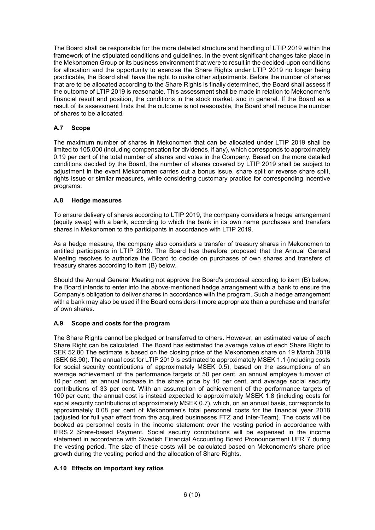The Board shall be responsible for the more detailed structure and handling of LTIP 2019 within the framework of the stipulated conditions and guidelines. In the event significant changes take place in the Mekonomen Group or its business environment that were to result in the decided-upon conditions for allocation and the opportunity to exercise the Share Rights under LTIP 2019 no longer being practicable, the Board shall have the right to make other adjustments. Before the number of shares that are to be allocated according to the Share Rights is finally determined, the Board shall assess if the outcome of LTIP 2019 is reasonable. This assessment shall be made in relation to Mekonomen's financial result and position, the conditions in the stock market, and in general. If the Board as a result of its assessment finds that the outcome is not reasonable, the Board shall reduce the number of shares to be allocated.

# **A.7 Scope**

The maximum number of shares in Mekonomen that can be allocated under LTIP 2019 shall be limited to 105,000 (including compensation for dividends, if any), which corresponds to approximately 0.19 per cent of the total number of shares and votes in the Company. Based on the more detailed conditions decided by the Board, the number of shares covered by LTIP 2019 shall be subject to adjustment in the event Mekonomen carries out a bonus issue, share split or reverse share split. rights issue or similar measures, while considering customary practice for corresponding incentive programs.

# **A.8 Hedge measures**

To ensure delivery of shares according to LTIP 2019, the company considers a hedge arrangement (equity swap) with a bank, according to which the bank in its own name purchases and transfers shares in Mekonomen to the participants in accordance with LTIP 2019.

As a hedge measure, the company also considers a transfer of treasury shares in Mekonomen to entitled participants in LTIP 2019. The Board has therefore proposed that the Annual General Meeting resolves to authorize the Board to decide on purchases of own shares and transfers of treasury shares according to item (B) below.

Should the Annual General Meeting not approve the Board's proposal according to item (B) below, the Board intends to enter into the above-mentioned hedge arrangement with a bank to ensure the Company's obligation to deliver shares in accordance with the program. Such a hedge arrangement with a bank may also be used if the Board considers it more appropriate than a purchase and transfer of own shares.

# **A.9 Scope and costs for the program**

The Share Rights cannot be pledged or transferred to others. However, an estimated value of each Share Right can be calculated. The Board has estimated the average value of each Share Right to SEK 52.80 The estimate is based on the closing price of the Mekonomen share on 19 March 2019 (SEK 68.90). The annual cost for LTIP 2019 is estimated to approximately MSEK 1.1 (including costs for social security contributions of approximately MSEK 0.5), based on the assumptions of an average achievement of the performance targets of 50 per cent, an annual employee turnover of 10 per cent, an annual increase in the share price by 10 per cent, and average social security contributions of 33 per cent. With an assumption of achievement of the performance targets of 100 per cent, the annual cost is instead expected to approximately MSEK 1.8 (including costs for social security contributions of approximately MSEK 0.7), which, on an annual basis, corresponds to approximately 0.08 per cent of Mekonomen's total personnel costs for the financial year 2018 (adjusted for full year effect from the acquired businesses FTZ and Inter-Team). The costs will be booked as personnel costs in the income statement over the vesting period in accordance with IFRS 2 Share-based Payment. Social security contributions will be expensed in the income statement in accordance with Swedish Financial Accounting Board Pronouncement UFR 7 during the vesting period. The size of these costs will be calculated based on Mekonomen's share price growth during the vesting period and the allocation of Share Rights.

# **A.10 Effects on important key ratios**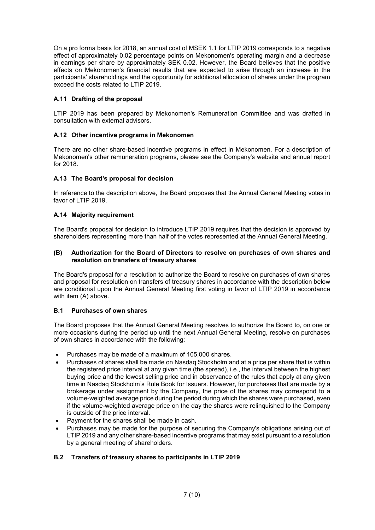On a pro forma basis for 2018, an annual cost of MSEK 1.1 for LTIP 2019 corresponds to a negative effect of approximately 0.02 percentage points on Mekonomen's operating margin and a decrease in earnings per share by approximately SEK 0.02. However, the Board believes that the positive effects on Mekonomen's financial results that are expected to arise through an increase in the participants' shareholdings and the opportunity for additional allocation of shares under the program exceed the costs related to LTIP 2019.

# **A.11 Drafting of the proposal**

LTIP 2019 has been prepared by Mekonomen's Remuneration Committee and was drafted in consultation with external advisors.

# **A.12 Other incentive programs in Mekonomen**

There are no other share-based incentive programs in effect in Mekonomen. For a description of Mekonomen's other remuneration programs, please see the Company's website and annual report for 2018.

# **A.13 The Board's proposal for decision**

In reference to the description above, the Board proposes that the Annual General Meeting votes in favor of LTIP 2019.

# **A.14 Majority requirement**

The Board's proposal for decision to introduce LTIP 2019 requires that the decision is approved by shareholders representing more than half of the votes represented at the Annual General Meeting.

### **(B) Authorization for the Board of Directors to resolve on purchases of own shares and resolution on transfers of treasury shares**

The Board's proposal for a resolution to authorize the Board to resolve on purchases of own shares and proposal for resolution on transfers of treasury shares in accordance with the description below are conditional upon the Annual General Meeting first voting in favor of LTIP 2019 in accordance with item (A) above.

## **B.1 Purchases of own shares**

The Board proposes that the Annual General Meeting resolves to authorize the Board to, on one or more occasions during the period up until the next Annual General Meeting, resolve on purchases of own shares in accordance with the following:

- Purchases may be made of a maximum of 105,000 shares.
- Purchases of shares shall be made on Nasdaq Stockholm and at a price per share that is within the registered price interval at any given time (the spread), i.e., the interval between the highest buying price and the lowest selling price and in observance of the rules that apply at any given time in Nasdaq Stockholm's Rule Book for Issuers. However, for purchases that are made by a brokerage under assignment by the Company, the price of the shares may correspond to a volume-weighted average price during the period during which the shares were purchased, even if the volume-weighted average price on the day the shares were relinquished to the Company is outside of the price interval.
- Payment for the shares shall be made in cash.
- Purchases may be made for the purpose of securing the Company's obligations arising out of LTIP 2019 and any other share-based incentive programs that may exist pursuant to a resolution by a general meeting of shareholders.

# **B.2 Transfers of treasury shares to participants in LTIP 2019**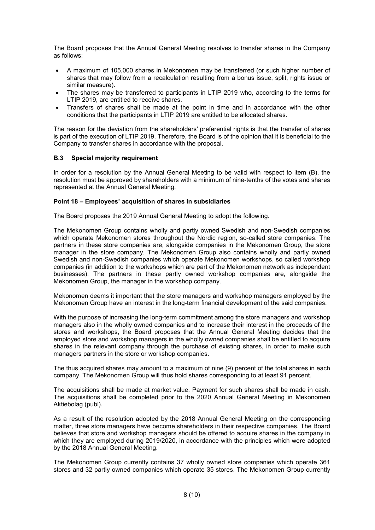The Board proposes that the Annual General Meeting resolves to transfer shares in the Company as follows:

- A maximum of 105,000 shares in Mekonomen may be transferred (or such higher number of shares that may follow from a recalculation resulting from a bonus issue, split, rights issue or similar measure).
- The shares may be transferred to participants in LTIP 2019 who, according to the terms for LTIP 2019, are entitled to receive shares.
- Transfers of shares shall be made at the point in time and in accordance with the other conditions that the participants in LTIP 2019 are entitled to be allocated shares.

The reason for the deviation from the shareholders' preferential rights is that the transfer of shares is part of the execution of LTIP 2019. Therefore, the Board is of the opinion that it is beneficial to the Company to transfer shares in accordance with the proposal.

## **B.3 Special majority requirement**

In order for a resolution by the Annual General Meeting to be valid with respect to item (B), the resolution must be approved by shareholders with a minimum of nine-tenths of the votes and shares represented at the Annual General Meeting.

#### **Point 18 – Employees' acquisition of shares in subsidiaries**

The Board proposes the 2019 Annual General Meeting to adopt the following.

The Mekonomen Group contains wholly and partly owned Swedish and non-Swedish companies which operate Mekonomen stores throughout the Nordic region, so-called store companies. The partners in these store companies are, alongside companies in the Mekonomen Group, the store manager in the store company. The Mekonomen Group also contains wholly and partly owned Swedish and non-Swedish companies which operate Mekonomen workshops, so called workshop companies (in addition to the workshops which are part of the Mekonomen network as independent businesses). The partners in these partly owned workshop companies are, alongside the Mekonomen Group, the manager in the workshop company.

Mekonomen deems it important that the store managers and workshop managers employed by the Mekonomen Group have an interest in the long-term financial development of the said companies.

With the purpose of increasing the long-term commitment among the store managers and workshop managers also in the wholly owned companies and to increase their interest in the proceeds of the stores and workshops, the Board proposes that the Annual General Meeting decides that the employed store and workshop managers in the wholly owned companies shall be entitled to acquire shares in the relevant company through the purchase of existing shares, in order to make such managers partners in the store or workshop companies.

The thus acquired shares may amount to a maximum of nine (9) percent of the total shares in each company. The Mekonomen Group will thus hold shares corresponding to at least 91 percent.

The acquisitions shall be made at market value. Payment for such shares shall be made in cash. The acquisitions shall be completed prior to the 2020 Annual General Meeting in Mekonomen Aktiebolag (publ).

As a result of the resolution adopted by the 2018 Annual General Meeting on the corresponding matter, three store managers have become shareholders in their respective companies. The Board believes that store and workshop managers should be offered to acquire shares in the company in which they are employed during 2019/2020, in accordance with the principles which were adopted by the 2018 Annual General Meeting.

The Mekonomen Group currently contains 37 wholly owned store companies which operate 361 stores and 32 partly owned companies which operate 35 stores. The Mekonomen Group currently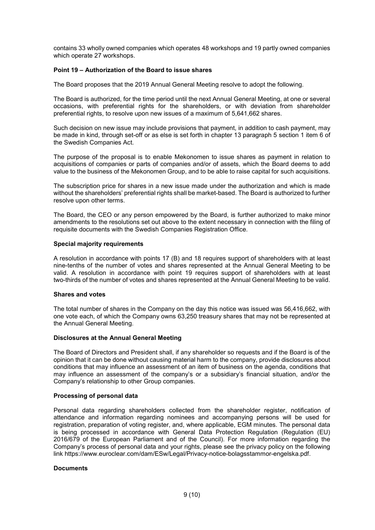contains 33 wholly owned companies which operates 48 workshops and 19 partly owned companies which operate 27 workshops.

### **Point 19 – Authorization of the Board to issue shares**

The Board proposes that the 2019 Annual General Meeting resolve to adopt the following.

The Board is authorized, for the time period until the next Annual General Meeting, at one or several occasions, with preferential rights for the shareholders, or with deviation from shareholder preferential rights, to resolve upon new issues of a maximum of 5,641,662 shares.

Such decision on new issue may include provisions that payment, in addition to cash payment, may be made in kind, through set-off or as else is set forth in chapter 13 paragraph 5 section 1 item 6 of the Swedish Companies Act.

The purpose of the proposal is to enable Mekonomen to issue shares as payment in relation to acquisitions of companies or parts of companies and/or of assets, which the Board deems to add value to the business of the Mekonomen Group, and to be able to raise capital for such acquisitions.

The subscription price for shares in a new issue made under the authorization and which is made without the shareholders' preferential rights shall be market-based. The Board is authorized to further resolve upon other terms.

The Board, the CEO or any person empowered by the Board, is further authorized to make minor amendments to the resolutions set out above to the extent necessary in connection with the filing of requisite documents with the Swedish Companies Registration Office.

#### **Special majority requirements**

A resolution in accordance with points 17 (B) and 18 requires support of shareholders with at least nine-tenths of the number of votes and shares represented at the Annual General Meeting to be valid. A resolution in accordance with point 19 requires support of shareholders with at least two-thirds of the number of votes and shares represented at the Annual General Meeting to be valid.

#### **Shares and votes**

The total number of shares in the Company on the day this notice was issued was 56,416,662, with one vote each, of which the Company owns 63,250 treasury shares that may not be represented at the Annual General Meeting.

## **Disclosures at the Annual General Meeting**

The Board of Directors and President shall, if any shareholder so requests and if the Board is of the opinion that it can be done without causing material harm to the company, provide disclosures about conditions that may influence an assessment of an item of business on the agenda, conditions that may influence an assessment of the company's or a subsidiary's financial situation, and/or the Company's relationship to other Group companies.

## **Processing of personal data**

Personal data regarding shareholders collected from the shareholder register, notification of attendance and information regarding nominees and accompanying persons will be used for registration, preparation of voting register, and, where applicable, EGM minutes. The personal data is being processed in accordance with General Data Protection Regulation (Regulation (EU) 2016/679 of the European Parliament and of the Council). For more information regarding the Company's process of personal data and your rights, please see the privacy policy on the following link https://www.euroclear.com/dam/ESw/Legal/Privacy-notice-bolagsstammor-engelska.pdf.

## **Documents**